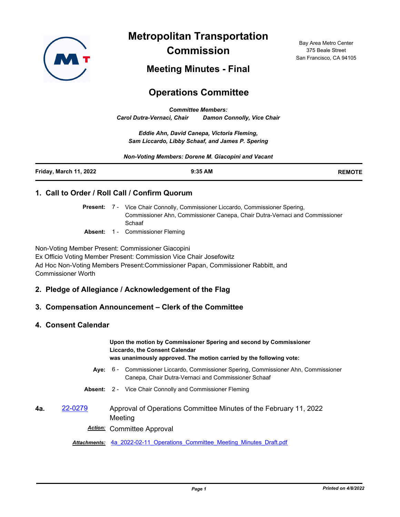

**Metropolitan Transportation Commission**

Bay Area Metro Center 375 Beale Street San Francisco, CA 94105

**Meeting Minutes - Final**

# **Operations Committee**

*Committee Members: Carol Dutra-Vernaci, Chair Damon Connolly, Vice Chair*

*Eddie Ahn, David Canepa, Victoria Fleming, Sam Liccardo, Libby Schaaf, and James P. Spering*

*Non-Voting Members: Dorene M. Giacopini and Vacant*

| Friday, March 11, 2022 | 9:35 AM | <b>REMOTE</b> |
|------------------------|---------|---------------|
|                        |         |               |

# **1. Call to Order / Roll Call / Confirm Quorum**

Present: 7 - Vice Chair Connolly, Commissioner Liccardo, Commissioner Spering, Commissioner Ahn, Commissioner Canepa, Chair Dutra-Vernaci and Commissioner Schaaf

**Absent:** 1 - Commissioner Fleming

Non-Voting Member Present: Commissioner Giacopini Ex Officio Voting Member Present: Commission Vice Chair Josefowitz Ad Hoc Non-Voting Members Present:Commissioner Papan, Commissioner Rabbitt, and Commissioner Worth

# **2. Pledge of Allegiance / Acknowledgement of the Flag**

# **3. Compensation Announcement – Clerk of the Committee**

# **4. Consent Calendar**

**Upon the motion by Commissioner Spering and second by Commissioner Liccardo, the Consent Calendar was unanimously approved. The motion carried by the following vote:**

- Aye: 6 Commissioner Liccardo, Commissioner Spering, Commissioner Ahn, Commissioner Canepa, Chair Dutra-Vernaci and Commissioner Schaaf
- **Absent:** 2 Vice Chair Connolly and Commissioner Fleming

# **4a.** [22-0279](http://mtc.legistar.com/gateway.aspx?m=l&id=/matter.aspx?key=23538) Approval of Operations Committee Minutes of the February 11, 2022 **Meeting**

*Action:* Committee Approval

*Attachments:* [4a\\_2022-02-11\\_Operations\\_Committee\\_Meeting\\_Minutes\\_Draft.pdf](http://mtc.legistar.com/gateway.aspx?M=F&ID=b1feac3b-e455-447f-a14c-04deb7924d02.pdf)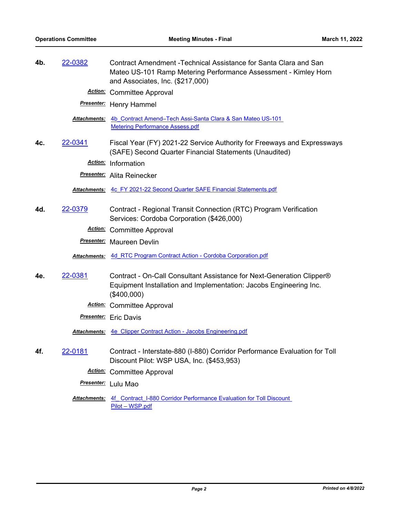| 4b. | <u>22-0382</u>       | Contract Amendment -Technical Assistance for Santa Clara and San<br>Mateo US-101 Ramp Metering Performance Assessment - Kimley Horn<br>and Associates, Inc. (\$217,000) |
|-----|----------------------|-------------------------------------------------------------------------------------------------------------------------------------------------------------------------|
|     |                      | <b>Action:</b> Committee Approval                                                                                                                                       |
|     |                      | <b>Presenter:</b> Henry Hammel                                                                                                                                          |
|     | <u> Attachments:</u> | 4b Contract Amend-Tech Assi-Santa Clara & San Mateo US-101<br><b>Metering Performance Assess.pdf</b>                                                                    |
| 4c. | 22-0341              | Fiscal Year (FY) 2021-22 Service Authority for Freeways and Expressways<br>(SAFE) Second Quarter Financial Statements (Unaudited)                                       |
|     |                      | Action: Information                                                                                                                                                     |
|     |                      | <b>Presenter:</b> Alita Reinecker                                                                                                                                       |
|     |                      | Attachments: 4c FY 2021-22 Second Quarter SAFE Financial Statements.pdf                                                                                                 |
| 4d. | 22-0379              | Contract - Regional Transit Connection (RTC) Program Verification<br>Services: Cordoba Corporation (\$426,000)                                                          |
|     |                      | <b>Action:</b> Committee Approval                                                                                                                                       |
|     |                      | <b>Presenter:</b> Maureen Devlin                                                                                                                                        |
|     |                      | <b>Attachments: 4d RTC Program Contract Action - Cordoba Corporation.pdf</b>                                                                                            |
| 4e. | 22-0381              | Contract - On-Call Consultant Assistance for Next-Generation Clipper®<br>Equipment Installation and Implementation: Jacobs Engineering Inc.<br>(\$400,000)              |
|     |                      | <b>Action:</b> Committee Approval                                                                                                                                       |
|     |                      | <b>Presenter:</b> Eric Davis                                                                                                                                            |
|     |                      | Attachments: 4e Clipper Contract Action - Jacobs Engineering.pdf                                                                                                        |
| 4f. | <u>22-0181</u>       | Contract - Interstate-880 (I-880) Corridor Performance Evaluation for Toll<br>Discount Pilot: WSP USA, Inc. (\$453,953)                                                 |
|     |                      | <b>Action:</b> Committee Approval                                                                                                                                       |
|     |                      | Presenter: Lulu Mao                                                                                                                                                     |
|     |                      | <b>Attachments:</b> 4f Contract I-880 Corridor Performance Evaluation for Toll Discount<br>Pilot - WSP.pdf                                                              |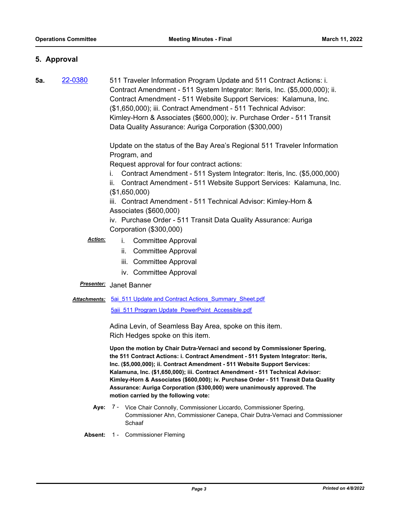# **5. Approval**

**5a.** [22-0380](http://mtc.legistar.com/gateway.aspx?m=l&id=/matter.aspx?key=23639) 511 Traveler Information Program Update and 511 Contract Actions: i. Contract Amendment - 511 System Integrator: Iteris, Inc. (\$5,000,000); ii. Contract Amendment - 511 Website Support Services: Kalamuna, Inc. (\$1,650,000); iii. Contract Amendment - 511 Technical Advisor: Kimley-Horn & Associates (\$600,000); iv. Purchase Order - 511 Transit Data Quality Assurance: Auriga Corporation (\$300,000)

> Update on the status of the Bay Area's Regional 511 Traveler Information Program, and

Request approval for four contract actions:

- i. Contract Amendment 511 System Integrator: Iteris, Inc. (\$5,000,000)
- ii. Contract Amendment 511 Website Support Services: Kalamuna, Inc. (\$1,650,000)

iii. Contract Amendment - 511 Technical Advisor: Kimley-Horn & Associates (\$600,000)

iv. Purchase Order - 511 Transit Data Quality Assurance: Auriga Corporation (\$300,000)

# *Action:* i. Committee Approval

- ii. Committee Approval
- iii. Committee Approval
- iv. Committee Approval

#### *Presenter:* Janet Banner

#### Attachments: 5ai 511 Update and Contract Actions Summary Sheet.pdf

[5aii\\_511 Program Update\\_PowerPoint\\_Accessible.pdf](http://mtc.legistar.com/gateway.aspx?M=F&ID=c7c4ef48-ba78-495d-a689-bca1d91c413b.pdf)

Adina Levin, of Seamless Bay Area, spoke on this item. Rich Hedges spoke on this item.

**Upon the motion by Chair Dutra-Vernaci and second by Commissioner Spering, the 511 Contract Actions: i. Contract Amendment - 511 System Integrator: Iteris, Inc. (\$5,000,000); ii. Contract Amendment - 511 Website Support Services: Kalamuna, Inc. (\$1,650,000); iii. Contract Amendment - 511 Technical Advisor: Kimley-Horn & Associates (\$600,000); iv. Purchase Order - 511 Transit Data Quality Assurance: Auriga Corporation (\$300,000) were unanimously approved. The motion carried by the following vote:**

- Aye: 7 Vice Chair Connolly, Commissioner Liccardo, Commissioner Spering, Commissioner Ahn, Commissioner Canepa, Chair Dutra-Vernaci and Commissioner Schaaf
- **Absent:** 1 Commissioner Fleming